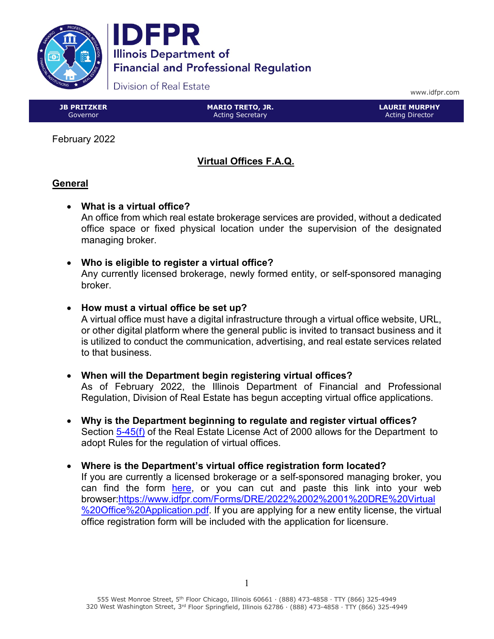

DFPR **Illinois Department of Financial and Professional Regulation** 

Division of Real Estate

www.idfpr.com

**JB PRITZKER** Governor

**MARIO TRETO, JR.** Acting Secretary

**LAURIE MURPHY** Acting Director

February 2022

# **Virtual Offices F.A.Q.**

# **General**

• **What is a virtual office?**

An office from which real estate brokerage services are provided, without a dedicated office space or fixed physical location under the supervision of the designated managing broker.

- **Who is eligible to register a virtual office?**  Any currently licensed brokerage, newly formed entity, or self-sponsored managing broker.
- **How must a virtual office be set up?**

A virtual office must have a digital infrastructure through a virtual office website, URL, or other digital platform where the general public is invited to transact business and it is utilized to conduct the communication, advertising, and real estate services related to that business.

- **When will the Department begin registering virtual offices?** As of February 2022, the Illinois Department of Financial and Professional Regulation, Division of Real Estate has begun accepting virtual office applications.
- **Why is the Department beginning to regulate and register virtual offices?** Section [5-45\(f\)](https://www.ilga.gov/legislation/ilcs/documents/022504540K5-45.htm) of the Real Estate License Act of 2000 allows for the Department to adopt Rules for the regulation of virtual offices.
- **Where is the Department's virtual office registration form located?** If you are currently a licensed brokerage or a self-sponsored managing broker, you can find the form [here,](https://www.idfpr.com/Forms/DRE/2022%2002%2001%20DRE%20Virtual%20Office%20Application.pdf) or you can cut and paste this link into your web browser[:https://www.idfpr.com/Forms/DRE/2022%2002%2001%20DRE%20Virtual](https://www.idfpr.com/Forms/DRE/2022%2002%2001%20DRE%20Virtual%20Office%20Application.pdf) [%20Office%20Application.pdf.](https://www.idfpr.com/Forms/DRE/2022%2002%2001%20DRE%20Virtual%20Office%20Application.pdf) If you are applying for a new entity license, the virtual office registration form will be included with the application for licensure.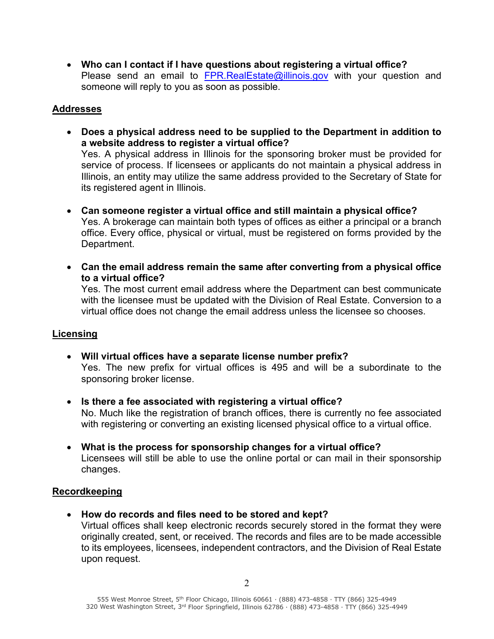• **Who can I contact if I have questions about registering a virtual office?** Please send an email to [FPR.RealEstate@illinois.gov](mailto:FPR.RealEstate@illinois.gov) with your question and someone will reply to you as soon as possible.

# **Addresses**

- **Does a physical address need to be supplied to the Department in addition to a website address to register a virtual office?** Yes. A physical address in Illinois for the sponsoring broker must be provided for service of process. If licensees or applicants do not maintain a physical address in Illinois, an entity may utilize the same address provided to the Secretary of State for its registered agent in Illinois.
- **Can someone register a virtual office and still maintain a physical office?**  Yes. A brokerage can maintain both types of offices as either a principal or a branch office. Every office, physical or virtual, must be registered on forms provided by the Department.
- **Can the email address remain the same after converting from a physical office to a virtual office?**

Yes. The most current email address where the Department can best communicate with the licensee must be updated with the Division of Real Estate. Conversion to a virtual office does not change the email address unless the licensee so chooses.

## **Licensing**

- **Will virtual offices have a separate license number prefix?** Yes. The new prefix for virtual offices is 495 and will be a subordinate to the sponsoring broker license.
- **Is there a fee associated with registering a virtual office?** No. Much like the registration of branch offices, there is currently no fee associated with registering or converting an existing licensed physical office to a virtual office.
- **What is the process for sponsorship changes for a virtual office?** Licensees will still be able to use the online portal or can mail in their sponsorship changes.

## **Recordkeeping**

• **How do records and files need to be stored and kept?** 

Virtual offices shall keep electronic records securely stored in the format they were originally created, sent, or received. The records and files are to be made accessible to its employees, licensees, independent contractors, and the Division of Real Estate upon request.